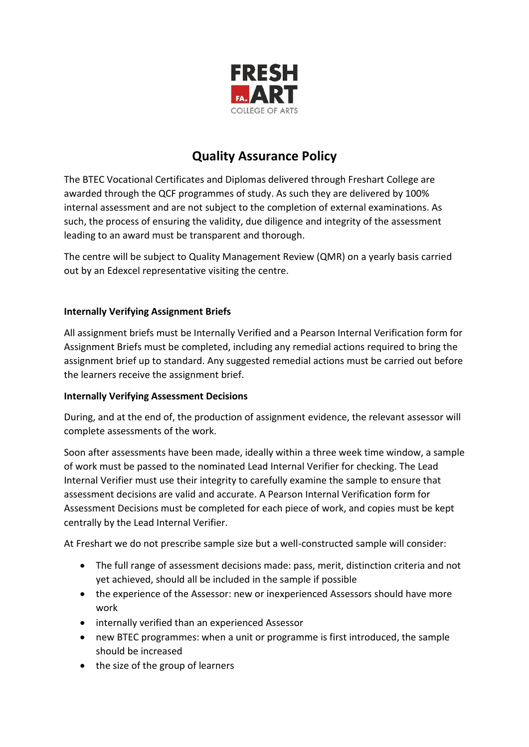

# **Quality Assurance Policy**

The BTEC Vocational Certificates and Diplomas delivered through Freshart College are awarded through the QCF programmes of study. As such they are delivered by 100% internal assessment and are not subject to the completion of external examinations. As such, the process of ensuring the validity, due diligence and integrity of the assessment leading to an award must be transparent and thorough.

The centre will be subject to Quality Management Review (QMR) on a yearly basis carried out by an Edexcel representative visiting the centre.

## **Internally Verifying Assignment Briefs**

All assignment briefs must be Internally Verified and a Pearson Internal Verification form for Assignment Briefs must be completed, including any remedial actions required to bring the assignment brief up to standard. Any suggested remedial actions must be carried out before the learners receive the assignment brief.

## **Internally Verifying Assessment Decisions**

During, and at the end of, the production of assignment evidence, the relevant assessor will complete assessments of the work.

Soon after assessments have been made, ideally within a three week time window, a sample of work must be passed to the nominated Lead Internal Verifier for checking. The Lead Internal Verifier must use their integrity to carefully examine the sample to ensure that assessment decisions are valid and accurate. A Pearson Internal Verification form for Assessment Decisions must be completed for each piece of work, and copies must be kept centrally by the Lead Internal Verifier.

At Freshart we do not prescribe sample size but a well-constructed sample will consider:

- The full range of assessment decisions made: pass, merit, distinction criteria and not yet achieved, should all be included in the sample if possible
- the experience of the Assessor: new or inexperienced Assessors should have more work
- internally verified than an experienced Assessor
- new BTEC programmes: when a unit or programme is first introduced, the sample should be increased
- the size of the group of learners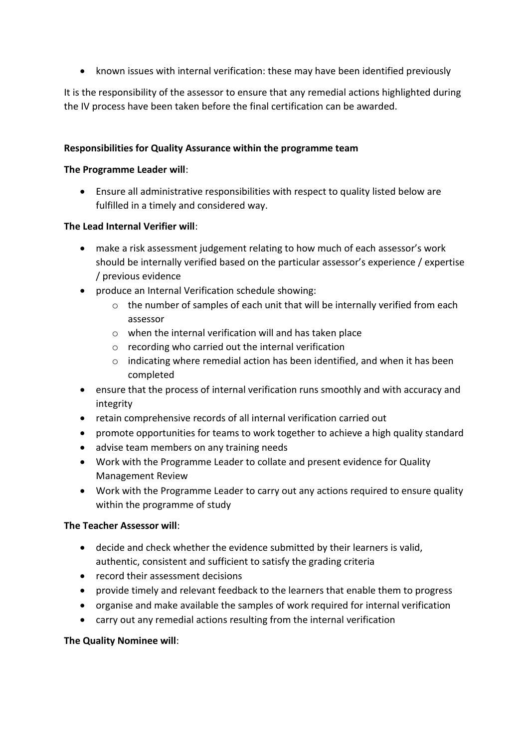• known issues with internal verification: these may have been identified previously

It is the responsibility of the assessor to ensure that any remedial actions highlighted during the IV process have been taken before the final certification can be awarded.

### **Responsibilities for Quality Assurance within the programme team**

#### **The Programme Leader will**:

 Ensure all administrative responsibilities with respect to quality listed below are fulfilled in a timely and considered way.

#### **The Lead Internal Verifier will**:

- make a risk assessment judgement relating to how much of each assessor's work should be internally verified based on the particular assessor's experience / expertise / previous evidence
- produce an Internal Verification schedule showing:
	- o the number of samples of each unit that will be internally verified from each assessor
	- o when the internal verification will and has taken place
	- o recording who carried out the internal verification
	- o indicating where remedial action has been identified, and when it has been completed
- ensure that the process of internal verification runs smoothly and with accuracy and integrity
- retain comprehensive records of all internal verification carried out
- promote opportunities for teams to work together to achieve a high quality standard
- advise team members on any training needs
- Work with the Programme Leader to collate and present evidence for Quality Management Review
- Work with the Programme Leader to carry out any actions required to ensure quality within the programme of study

## **The Teacher Assessor will**:

- decide and check whether the evidence submitted by their learners is valid, authentic, consistent and sufficient to satisfy the grading criteria
- record their assessment decisions
- provide timely and relevant feedback to the learners that enable them to progress
- organise and make available the samples of work required for internal verification
- carry out any remedial actions resulting from the internal verification

## **The Quality Nominee will**: